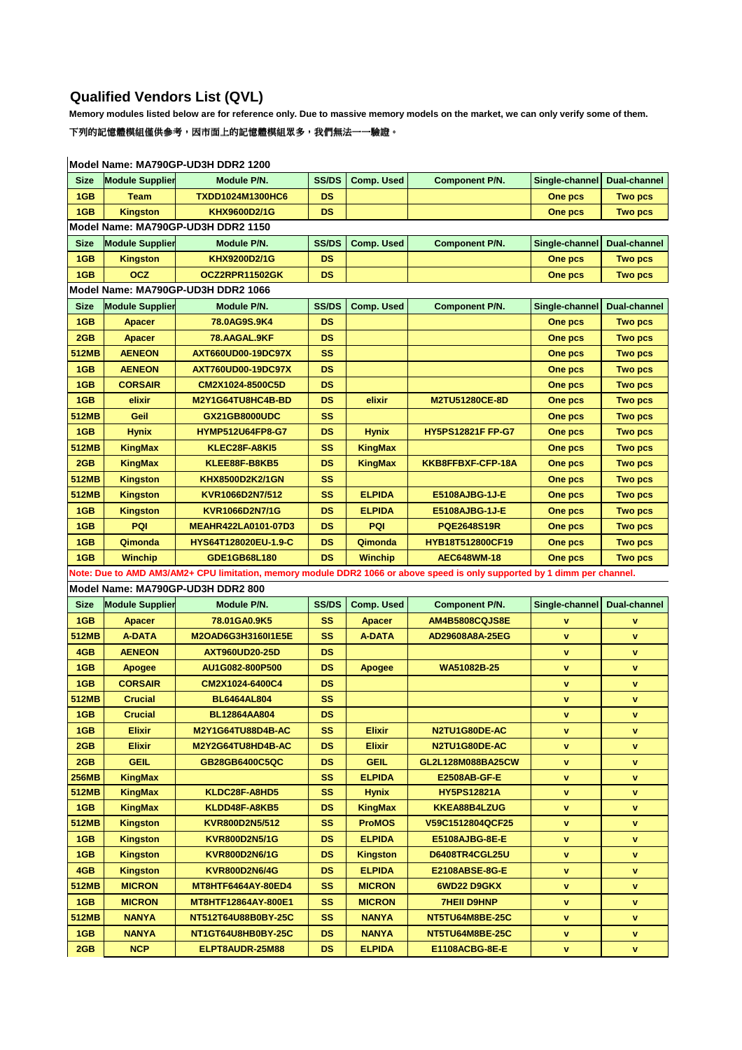## **Qualified Vendors List (QVL)**

**Memory modules listed below are for reference only. Due to massive memory models on the market, we can only verify some of them.**

 $\overline{\phantom{a}}$ 下列的記憶體模組僅供參考,因市面上的記憶體模組眾多,我們無法一一驗證。

| <b>Size</b>                                                                                                               | <b>Module Supplier</b>             | Module P/N.                        | SS/DS     | <b>Comp. Used</b> | <b>Component P/N.</b>    | Single-channel | <b>Dual-channel</b> |  |  |  |  |  |
|---------------------------------------------------------------------------------------------------------------------------|------------------------------------|------------------------------------|-----------|-------------------|--------------------------|----------------|---------------------|--|--|--|--|--|
| 1GB                                                                                                                       | <b>Team</b>                        | <b>TXDD1024M1300HC6</b>            | <b>DS</b> |                   |                          | One pcs        | <b>Two pcs</b>      |  |  |  |  |  |
| 1GB                                                                                                                       | <b>Kingston</b>                    | KHX9600D2/1G                       | <b>DS</b> |                   |                          | One pcs        | <b>Two pcs</b>      |  |  |  |  |  |
|                                                                                                                           | Model Name: MA790GP-UD3H DDR2 1150 |                                    |           |                   |                          |                |                     |  |  |  |  |  |
| <b>Size</b>                                                                                                               | <b>Module Supplier</b>             | Module P/N.                        | SS/DS     | <b>Comp. Used</b> | <b>Component P/N.</b>    | Single-channel | <b>Dual-channel</b> |  |  |  |  |  |
| 1GB                                                                                                                       | <b>Kingston</b>                    | KHX9200D2/1G                       | <b>DS</b> |                   |                          | One pcs        | <b>Two pcs</b>      |  |  |  |  |  |
| 1GB                                                                                                                       | <b>OCZ</b>                         | OCZ2RPR11502GK                     | <b>DS</b> |                   |                          | One pcs        | <b>Two pcs</b>      |  |  |  |  |  |
|                                                                                                                           |                                    | Model Name: MA790GP-UD3H DDR2 1066 |           |                   |                          |                |                     |  |  |  |  |  |
| <b>Size</b>                                                                                                               | <b>Module Supplier</b>             | Module P/N.                        | SS/DS     | <b>Comp. Used</b> | <b>Component P/N.</b>    | Single-channel | <b>Dual-channel</b> |  |  |  |  |  |
| 1GB                                                                                                                       | <b>Apacer</b>                      | 78.0AG9S.9K4                       | <b>DS</b> |                   |                          | One pcs        | <b>Two pcs</b>      |  |  |  |  |  |
| 2GB                                                                                                                       | <b>Apacer</b>                      | 78.AAGAL.9KF                       | <b>DS</b> |                   |                          | One pcs        | <b>Two pcs</b>      |  |  |  |  |  |
| <b>512MB</b>                                                                                                              | <b>AENEON</b>                      | AXT660UD00-19DC97X                 | <b>SS</b> |                   |                          | One pcs        | <b>Two pcs</b>      |  |  |  |  |  |
| 1GB                                                                                                                       | <b>AENEON</b>                      | <b>AXT760UD00-19DC97X</b>          | <b>DS</b> |                   |                          | One pcs        | <b>Two pcs</b>      |  |  |  |  |  |
| 1GB                                                                                                                       | <b>CORSAIR</b>                     | CM2X1024-8500C5D                   | <b>DS</b> |                   |                          | One pcs        | <b>Two pcs</b>      |  |  |  |  |  |
| 1GB                                                                                                                       | elixir                             | M2Y1G64TU8HC4B-BD                  | <b>DS</b> | elixir            | <b>M2TU51280CE-8D</b>    | One pcs        | <b>Two pcs</b>      |  |  |  |  |  |
| 512MB                                                                                                                     | Geil                               | GX21GB8000UDC                      | SS        |                   |                          | One pcs        | <b>Two pcs</b>      |  |  |  |  |  |
| 1GB                                                                                                                       | <b>Hynix</b>                       | <b>HYMP512U64FP8-G7</b>            | <b>DS</b> | <b>Hynix</b>      | <b>HY5PS12821F FP-G7</b> | One pcs        | <b>Two pcs</b>      |  |  |  |  |  |
| 512MB                                                                                                                     | <b>KingMax</b>                     | KLEC28F-A8KI5                      | SS        | <b>KingMax</b>    |                          | One pcs        | <b>Two pcs</b>      |  |  |  |  |  |
| 2GB                                                                                                                       | <b>KingMax</b>                     | KLEE88F-B8KB5                      | <b>DS</b> | <b>KingMax</b>    | KKB8FFBXF-CFP-18A        | One pcs        | <b>Two pcs</b>      |  |  |  |  |  |
| <b>512MB</b>                                                                                                              | <b>Kingston</b>                    | KHX8500D2K2/1GN                    | SS        |                   |                          | One pcs        | <b>Two pcs</b>      |  |  |  |  |  |
| <b>512MB</b>                                                                                                              | <b>Kingston</b>                    | KVR1066D2N7/512                    | SS        | <b>ELPIDA</b>     | E5108AJBG-1J-E           | One pcs        | <b>Two pcs</b>      |  |  |  |  |  |
| 1GB                                                                                                                       | <b>Kingston</b>                    | KVR1066D2N7/1G                     | <b>DS</b> | <b>ELPIDA</b>     | E5108AJBG-1J-E           | One pcs        | <b>Two pcs</b>      |  |  |  |  |  |
| 1GB                                                                                                                       | PQI                                | <b>MEAHR422LA0101-07D3</b>         | <b>DS</b> | PQI               | <b>PQE2648S19R</b>       | One pcs        | <b>Two pcs</b>      |  |  |  |  |  |
| 1GB                                                                                                                       | Qimonda                            | HYS64T128020EU-1.9-C               | <b>DS</b> | Qimonda           | <b>HYB18T512800CF19</b>  | One pcs        | <b>Two pcs</b>      |  |  |  |  |  |
| 1GB                                                                                                                       | <b>Winchip</b>                     | GDE1GB68L180                       | <b>DS</b> | <b>Winchip</b>    | <b>AEC648WM-18</b>       | One pcs        | <b>Two pcs</b>      |  |  |  |  |  |
| Note: Due to AMD AM3/AM2+ CPU limitation, memory module DDR2 1066 or above speed is only supported by 1 dimm per channel. |                                    |                                    |           |                   |                          |                |                     |  |  |  |  |  |
| Model Name: MA790GP-UD3H DDR2 800                                                                                         |                                    |                                    |           |                   |                          |                |                     |  |  |  |  |  |
| <b>Size</b>                                                                                                               | <b>Module Supplier</b>             | Module P/N.                        | SS/DS     | <b>Comp. Used</b> | <b>Component P/N.</b>    | Single-channel | <b>Dual-channel</b> |  |  |  |  |  |
| 1GB                                                                                                                       | <b>Apacer</b>                      | 78.01GA0.9K5                       | SS        | <b>Apacer</b>     | <b>AM4B5808CQJS8E</b>    | v              | v                   |  |  |  |  |  |
| 512MB                                                                                                                     | <b>A-DATA</b>                      | M2OAD6G3H3160I1E5E                 | SS        | <b>A-DATA</b>     | AD29608A8A-25EG          | v              | v                   |  |  |  |  |  |
| 4GB                                                                                                                       | <b>AENEON</b>                      | <b>AXT960UD20-25D</b>              | <b>DS</b> |                   |                          | v              | v                   |  |  |  |  |  |
| 1GB                                                                                                                       | Apogee                             | AU1G082-800P500                    | <b>DS</b> | <b>Apogee</b>     | WA51082B-25              | v              | v                   |  |  |  |  |  |
| 1GB                                                                                                                       | <b>CORSAIR</b>                     | CM2X1024-6400C4                    | <b>DS</b> |                   |                          | $\mathbf v$    | v                   |  |  |  |  |  |
| <b>512MB</b>                                                                                                              | <b>Crucial</b>                     | <b>BL6464AL804</b>                 | <b>SS</b> |                   |                          | v              | v                   |  |  |  |  |  |
| 1GB                                                                                                                       | <b>Crucial</b>                     | <b>BL12864AA804</b>                | <b>DS</b> |                   |                          | v              | $\mathbf v$         |  |  |  |  |  |
| 1GB                                                                                                                       | Elixir                             | M2Y1G64TU88D4B-AC                  | SS        | <b>Elixir</b>     | N2TU1G80DE-AC            | $\mathbf v$    | v                   |  |  |  |  |  |
| 2GB                                                                                                                       | <b>Elixir</b>                      | M2Y2G64TU8HD4B-AC                  | <b>DS</b> | <b>Elixir</b>     | N2TU1G80DE-AC            | v              | v                   |  |  |  |  |  |
| 2GB                                                                                                                       | <b>GEIL</b>                        | GB28GB6400C5QC                     | <b>DS</b> | <b>GEIL</b>       | GL2L128M088BA25CW        | v              | v                   |  |  |  |  |  |
| 256MB                                                                                                                     |                                    |                                    |           |                   |                          |                |                     |  |  |  |  |  |
|                                                                                                                           | <b>KingMax</b>                     |                                    | SS        | <b>ELPIDA</b>     | <b>E2508AB-GF-E</b>      | v              | ۷                   |  |  |  |  |  |
| 512MB                                                                                                                     | KingMax                            | KLDC28F-A8HD5                      | SS        | Hynix             | <b>HY5PS12821A</b>       | v              | v                   |  |  |  |  |  |
| 1GB                                                                                                                       | <b>KingMax</b>                     | KLDD48F-A8KB5                      | <b>DS</b> | <b>KingMax</b>    | KKEA88B4LZUG             | v              | v                   |  |  |  |  |  |
| 512MB                                                                                                                     | <b>Kingston</b>                    | KVR800D2N5/512                     | SS        | <b>ProMOS</b>     | V59C1512804QCF25         | v              | v                   |  |  |  |  |  |
| 1GB                                                                                                                       | <b>Kingston</b>                    | <b>KVR800D2N5/1G</b>               | <b>DS</b> | <b>ELPIDA</b>     | E5108AJBG-8E-E           | v              | v                   |  |  |  |  |  |
| 1GB                                                                                                                       | Kingston                           | <b>KVR800D2N6/1G</b>               | <b>DS</b> | <b>Kingston</b>   | <b>D6408TR4CGL25U</b>    | v              | v                   |  |  |  |  |  |
| 4GB                                                                                                                       | <b>Kingston</b>                    | <b>KVR800D2N6/4G</b>               | <b>DS</b> | <b>ELPIDA</b>     | E2108ABSE-8G-E           | v              | v                   |  |  |  |  |  |
| 512MB                                                                                                                     | <b>MICRON</b>                      | MT8HTF6464AY-80ED4                 | <b>SS</b> | <b>MICRON</b>     | 6WD22 D9GKX              | v              | v                   |  |  |  |  |  |
| 1GB                                                                                                                       | <b>MICRON</b>                      | MT8HTF12864AY-800E1                | SS        | <b>MICRON</b>     | <b>7HEII D9HNP</b>       | v              | v                   |  |  |  |  |  |
| 512MB                                                                                                                     | <b>NANYA</b>                       | NT512T64U88B0BY-25C                | SS        | <b>NANYA</b>      | NT5TU64M8BE-25C          | v              | V                   |  |  |  |  |  |
| 1GB                                                                                                                       | <b>NANYA</b>                       | NT1GT64U8HB0BY-25C                 | <b>DS</b> | <b>NANYA</b>      | NT5TU64M8BE-25C          | V              | V                   |  |  |  |  |  |

## **Model Name: MA790GP-UD3H DDR2 1200**